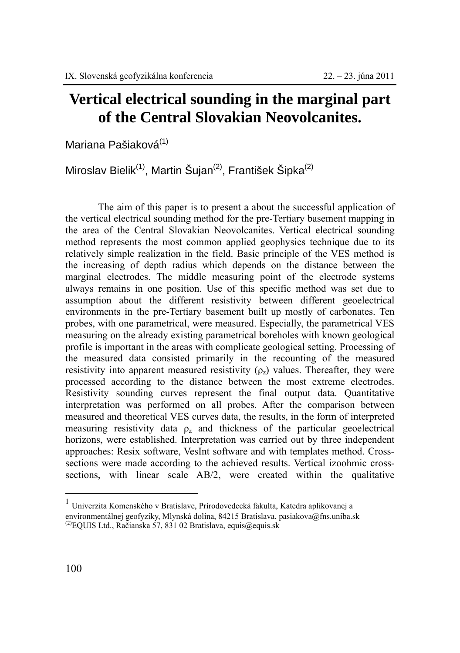## **Vertical electrical sounding in the marginal part of the Central Slovakian Neovolcanites.**

Mariana Pašiaková<sup>(1)</sup>

Miroslav Bielik<sup>(1)</sup>, Martin Šujan<sup>(2)</sup>, František Šipka<sup>(2)</sup>

The aim of this paper is to present a about the successful application of the vertical electrical sounding method for the pre-Tertiary basement mapping in the area of the Central Slovakian Neovolcanites. Vertical electrical sounding method represents the most common applied geophysics technique due to its relatively simple realization in the field. Basic principle of the VES method is the increasing of depth radius which depends on the distance between the marginal electrodes. The middle measuring point of the electrode systems always remains in one position. Use of this specific method was set due to assumption about the different resistivity between different geoelectrical environments in the pre-Tertiary basement built up mostly of carbonates. Ten probes, with one parametrical, were measured. Especially, the parametrical VES measuring on the already existing parametrical boreholes with known geological profile is important in the areas with complicate geological setting. Processing of the measured data consisted primarily in the recounting of the measured resistivity into apparent measured resistivity  $(\rho_z)$  values. Thereafter, they were processed according to the distance between the most extreme electrodes. Resistivity sounding curves represent the final output data. Quantitative interpretation was performed on all probes. After the comparison between measured and theoretical VES curves data, the results, in the form of interpreted measuring resistivity data  $\rho_z$  and thickness of the particular geoelectrical horizons, were established. Interpretation was carried out by three independent approaches: Resix software, VesInt software and with templates method. Crosssections were made according to the achieved results. Vertical izoohmic crosssections, with linear scale AB/2, were created within the qualitative

 $\overline{a}$ 

 $1$  Univerzita Komenského v Bratislave, Prírodovedecká fakulta, Katedra aplikovanej a

environmentálnej geofyziky, Mlynská dolina, 84215 Bratislava, pasiakova@fns.uniba.sk

 $^{(2)}$ EQUIS Ltd., Račianska 57, 831 02 Bratislava, equis@equis.sk